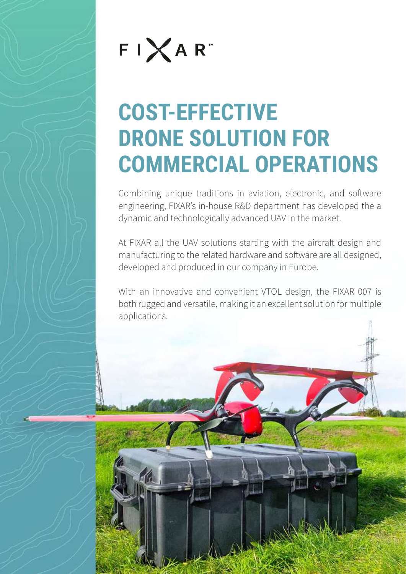

# **COST-EFFECTIVE DRONE SOLUTION FOR COMMERCIAL OPERATIONS**

Combining unique traditions in aviation, electronic, and software engineering, FIXAR's in-house R&D department has developed the a dynamic and technologically advanced UAV in the market.

At FIXAR all the UAV solutions starting with the aircraft design and manufacturing to the related hardware and software are all designed, developed and produced in our company in Europe.

With an innovative and convenient VTOL design, the FIXAR 007 is both rugged and versatile, making it an excellent solution for multiple applications.

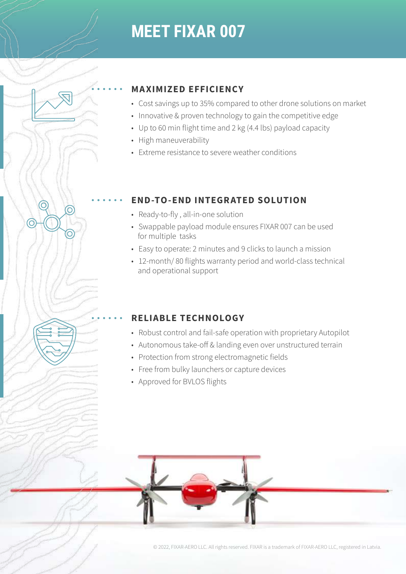## **MEET FIXAR 007**

#### **MAXIMIZED EFFICIENCY**

- Cost savings up to 35% compared to other drone solutions on market
- Innovative & proven technology to gain the competitive edge
- Up to 60 min flight time and 2 kg (4.4 lbs) payload capacity
- High maneuverability
- Extreme resistance to severe weather conditions

### **END-TO-END INTEGRATED SOLUTION**

- Ready-to-fly , all-in-one solution
- Swappable payload module ensures FIXAR 007 can be used for multiple tasks
- Easy to operate: 2 minutes and 9 clicks to launch a mission
- 12-month/ 80 flights warranty period and world-class technical and operational support

### **RELIABLE TECHNOLOGY**

- Robust control and fail-safe operation with proprietary Autopilot
- Autonomous take-off & landing even over unstructured terrain
- Protection from strong electromagnetic fields
- Free from bulky launchers or capture devices
- Approved for BVLOS flights



© 2022, FIXAR-AERO LLC. All rights reserved. FIXAR is a trademark of FIXAR-AERO LLC, registered in Latvia.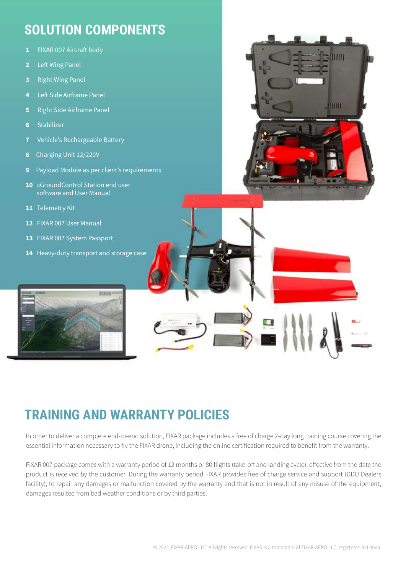### **SOLUTION COMPONENTS**

- **1** FIXAR 007 Aircraft body
- **2** Left Wing Panel
- **3** Right Wing Panel
- **4** Left Side Airframe Panel
- **5** Right Side Airframe Panel
- **6** Stabilizer
- **7** Vehicle's Rechargeable Battery
- **8** Charging Unit 12/220V
- **9** Payload Module as per client's requirements
- **10** xGroundControl Station end user software and User Manual
- **11** Telemetry Kit
- **12** FIXAR 007 User Manual
- **13** FIXAR 007 System Passport
- 14 Heavy-duty transport and storage case



### **TRAINING AND WARRANTY POLICIES**

In order to deliver a complete end-to-end solution, FIXAR package includes a free of charge 2-day long training course covering the essential information necessary to fly the FIXAR drone, including the online certification required to benefit from the warranty.

FIXAR 007 package comes with a warranty period of 12 months or 80 flights (take-off and landing cycle), effective from the date the product is received by the customer. During the warranty period FIXAR provides free of charge service and support (DDU Dealers facility), to repair any damages or malfunction covered by the warranty and that is not in result of any misuse of the equipment, damages resulted from bad weather conditions or by third parties.

ШI

**THIM!**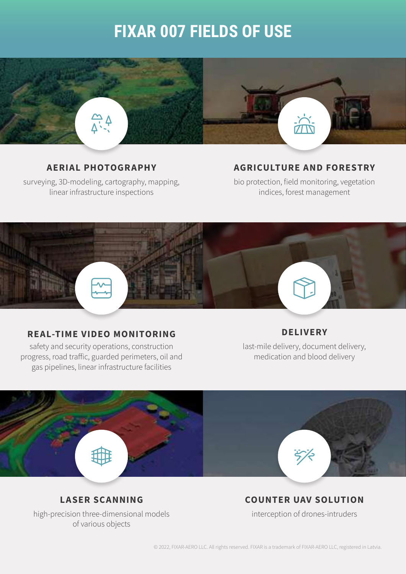## **FIXAR 007 FIELDS OF USE**



#### **AERIAL PHOTOGRAPHY**

surveying, 3D-modeling, cartography, mapping, linear infrastructure inspections

#### **AGRICULTURE AND FORESTRY**

bio protection, field monitoring, vegetation indices, forest management

#### **REAL-TIME VIDEO MONITORING**

safety and security operations, construction progress, road traffic, guarded perimeters, oil and gas pipelines, linear infrastructure facilities

#### **DELIVERY**

last-mile delivery, document delivery, medication and blood delivery



#### **LASER SCANNING**

high-precision three-dimensional models of various objects

#### **COUNTER UAV SOLUTION**

interception of drones-intruders

© 2022, FIXAR-AERO LLC. All rights reserved. FIXAR is a trademark of FIXAR-AERO LLC, registered in Latvia.